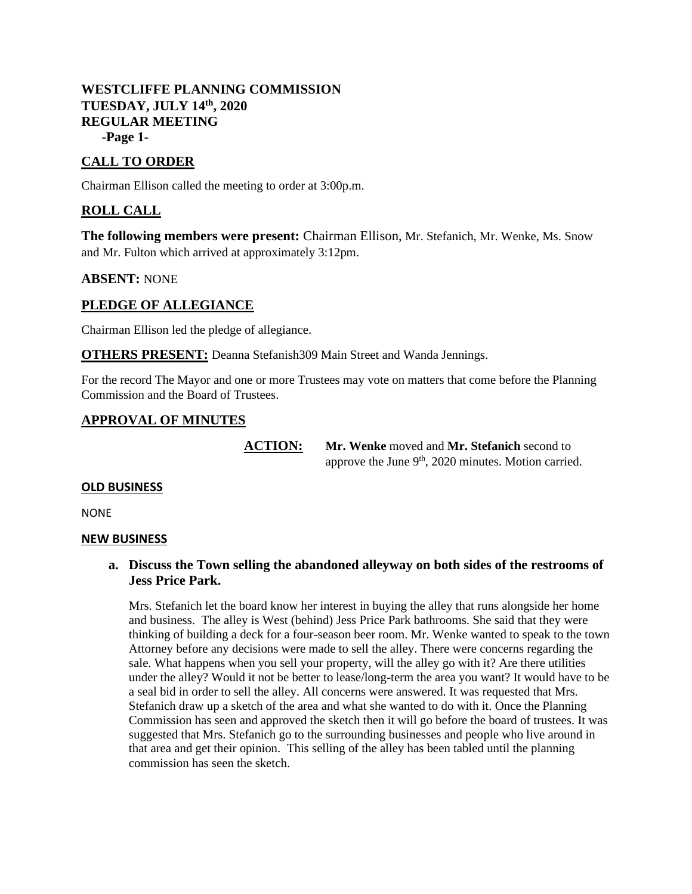## **WESTCLIFFE PLANNING COMMISSION TUESDAY, JULY 14th, 2020 REGULAR MEETING -Page 1-**

# **CALL TO ORDER**

Chairman Ellison called the meeting to order at 3:00p.m.

## **ROLL CALL**

**The following members were present:** Chairman Ellison, Mr. Stefanich, Mr. Wenke, Ms. Snow and Mr. Fulton which arrived at approximately 3:12pm.

### **ABSENT:** NONE

### **PLEDGE OF ALLEGIANCE**

Chairman Ellison led the pledge of allegiance.

**OTHERS PRESENT:** Deanna Stefanish309 Main Street and Wanda Jennings.

For the record The Mayor and one or more Trustees may vote on matters that come before the Planning Commission and the Board of Trustees.

### **APPROVAL OF MINUTES**

**ACTION: Mr. Wenke** moved and **Mr. Stefanich** second to approve the June  $9<sup>th</sup>$ , 2020 minutes. Motion carried.

### **OLD BUSINESS**

NONE

#### **NEW BUSINESS**

### **a. Discuss the Town selling the abandoned alleyway on both sides of the restrooms of Jess Price Park.**

Mrs. Stefanich let the board know her interest in buying the alley that runs alongside her home and business. The alley is West (behind) Jess Price Park bathrooms. She said that they were thinking of building a deck for a four-season beer room. Mr. Wenke wanted to speak to the town Attorney before any decisions were made to sell the alley. There were concerns regarding the sale. What happens when you sell your property, will the alley go with it? Are there utilities under the alley? Would it not be better to lease/long-term the area you want? It would have to be a seal bid in order to sell the alley. All concerns were answered. It was requested that Mrs. Stefanich draw up a sketch of the area and what she wanted to do with it. Once the Planning Commission has seen and approved the sketch then it will go before the board of trustees. It was suggested that Mrs. Stefanich go to the surrounding businesses and people who live around in that area and get their opinion. This selling of the alley has been tabled until the planning commission has seen the sketch.